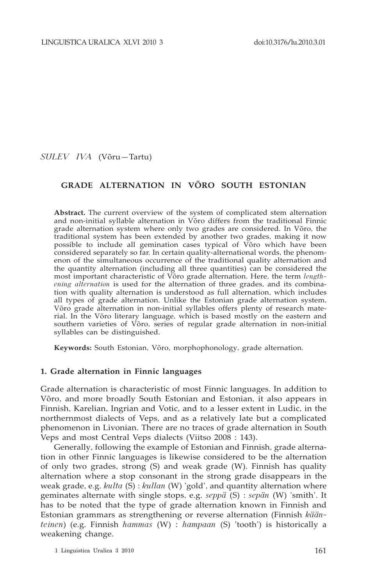*Sulev Iva* (Võru—Tartu)

# **GRADE ALTERNATION IN VÕRO SOUTH ESTONIAN**

**Abstract.** The current overview of the system of complicated stem alternation and non-initial syllable alternation in Võro differs from the traditional Finnic grade alternation system where only two grades are considered. In Võro, the traditional system has been extended by another two grades, making it now possible to include all gemination cases typical of Võro which have been considered separately so far. In certain quality-alternational words, the phenomenon of the simultaneous occurrence of the traditional quality alternation and the quantity alternation (including all three quantities) can be considered the most important characteristic of Võro grade alternation. Here, the term *lengthening alternation* is used for the alternation of three grades, and its combination with quality alternation is understood as full alternation, which includes all types of grade alternation. Unlike the Estonian grade alternation system, Võro grade alternation in non-initial syllables offers plenty of research material. In the Võro literary language, which is based mostly on the eastern and southern varieties of Võro, series of regular grade alternation in non-initial syllables can be distinguished.

**Keywords:** South Estonian, Võro, morphophonology, grade alternation.

#### **1. Grade alternation in Finnic languages**

Grade alternation is characteristic of most Finnic languages. In addition to Võro, and more broadly South Estonian and Estonian, it also appears in Finnish, Karelian, Ingrian and Votic, and to a lesser extent in Ludic, in the northernmost dialects of Veps, and as a relatively late but a complicated phenomenon in Livonian. There are no traces of grade alternation in South Veps and most Central Veps dialects (Viitso 2008 : 143).

Generally, following the example of Estonian and Finnish, grade alternation in other Finnic languages is likewise considered to be the alternation of only two grades, strong (S) and weak grade (W). Finnish has quality alternation where a stop consonant in the strong grade disappears in the weak grade, e.g. *kulta* (S) : *kullan* (W) 'gold', and quantity alternation where geminates alternate with single stops, e.g. *seppä* (S) : *sepän* (W) 'smith'. It has to be noted that the type of grade alternation known in Finnish and Estonian grammars as strengthening or reverse alternation (Finnish *käänteinen*) (e.g. Finnish *hammas* (W) : *hampaan* (S) 'tooth') is historically a weakening change.

1 Linguistica Uralica 3 2010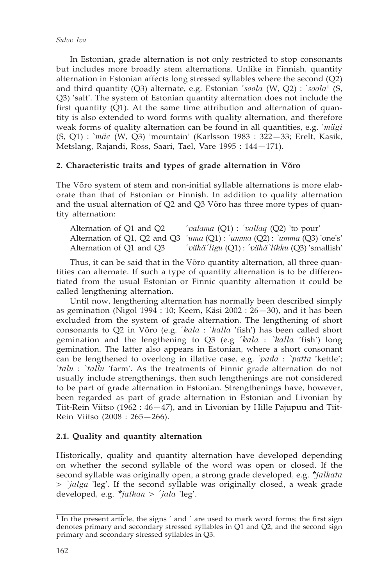In Estonian, grade alternation is not only restricted to stop consonants but includes more broadly stem alternations. Unlike in Finnish, quantity alternation in Estonian affects long stressed syllables where the second (Q2) and third quantity (Q3) alternate, e.g. Estonian ´*soola* (W, Q2) : `*soola*<sup>1</sup> (S, Q3) 'salt'. The system of Estonian quantity alternation does not include the first quantity (Q1). At the same time attribution and alternation of quantity is also extended to word forms with quality alternation, and therefore weak forms of quality alternation can be found in all quantities, e.g. ´*mägi* (S, Q1) : `*mäe* (W, Q3) 'mountain' (Karlsson 1983 : 322—33; Erelt, Kasik, Metslang, Rajandi, Ross, Saari, Tael, Vare 1995 : 144—171).

## **2. Characteristic traits and types of grade alternation in Võro**

The Võro system of stem and non-initial syllable alternations is more elaborate than that of Estonian or Finnish. In addition to quality alternation and the usual alternation of Q2 and Q3 Võro has three more types of quantity alternation:

| Alternation of Q1 and Q2 | 'valama $(Q1)$ : 'vallaq $(Q2)$ 'to pour'                                      |
|--------------------------|--------------------------------------------------------------------------------|
|                          | Alternation of Q1, Q2 and Q3 'uma $(Q1)$ : 'umma $(Q2)$ : 'umma $(Q3)$ 'one's' |
| Alternation of Q1 and Q3 | 'vähä'ligu (Q1) : 'vähä`likku (Q3)'smallish'                                   |

Thus, it can be said that in the Võro quantity alternation, all three quantities can alternate. If such a type of quantity alternation is to be differentiated from the usual Estonian or Finnic quantity alternation it could be called lengthening alternation.

Until now, lengthening alternation has normally been described simply as gemination (Nigol 1994 : 10; Keem, Käsi 2002 : 26—30), and it has been excluded from the system of grade alternation. The lengthening of short consonants to Q2 in Võro (e.g. ´*kala* : ´*kalla* 'fish') has been called short gemination and the lengthening to Q3 (e.g ´*kala* : *`kalla* 'fish') long gemination. The latter also appears in Estonian, where a short consonant can be lengthened to overlong in illative case, e.g. ´*pada* : *`patta* 'kettle'; ´*talu* : *`tallu* 'farm'. As the treatments of Finnic grade alternation do not usually include strengthenings, then such lengthenings are not considered to be part of grade alternation in Estonian. Strengthenings have, however, been regarded as part of grade alternation in Estonian and Livonian by Tiit-Rein Viitso (1962 : 46—47), and in Livonian by Hille Pajupuu and Tiit-Rein Viitso (2008 : 265—266).

# **2.1. Quality and quantity alternation**

Historically, quality and quantity alternation have developed depending on whether the second syllable of the word was open or closed. If the second syllable was originally open, a strong grade developed, e.g. *\*jalkata > `jalga* 'leg'. If the second syllable was originally closed, a weak grade developed, e.g. *\*jalkan > ´jala* 'leg'.

 $\frac{1}{1}$  In the present article, the signs  $\prime$  and  $\prime$  are used to mark word forms; the first sign denotes primary and secondary stressed syllables in Q1 and Q2, and the second sign primary and secondary stressed syllables in Q3.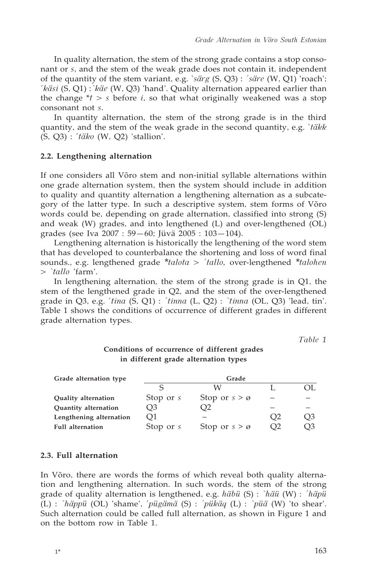In quality alternation, the stem of the strong grade contains a stop consonant or *s*, and the stem of the weak grade does not contain it, independent of the quantity of the stem variant, e.g. `*särg* (S, Q3) : *´säre* (W, Q1) 'roach'; ´*käsi* (S, Q1) :*`käe* (W, Q3) 'hand'. Quality alternation appeared earlier than the change  $*$ *t*  $>$  *s* before *i*, so that what originally weakened was a stop consonant not *s*.

In quantity alternation, the stem of the strong grade is in the third quantity, and the stem of the weak grade in the second quantity, e.g. `*täkk* (S, Q3) : ´*täko* (W, Q2) 'stallion'.

#### **2.2. Lengthening alternation**

If one considers all Võro stem and non-initial syllable alternations within one grade alternation system, then the system should include in addition to quality and quantity alternation a lengthening alternation as a subcategory of the latter type. In such a descriptive system, stem forms of Võro words could be, depending on grade alternation, classified into strong (S) and weak (W) grades, and into lengthened (L) and over-lengthened (OL) grades (see Iva 2007 : 59—60; Jüvä 2005 : 103—104).

Lengthening alternation is historically the lengthening of the word stem that has developed to counterbalance the shortening and loss of word final sounds., e.g. lengthened grade *\*talota > ´tallo,* over-lengthened *\*talohen > `tallo* 'farm'.

In lengthening alternation, the stem of the strong grade is in Q1, the stem of the lengthened grade in Q2, and the stem of the over-lengthened grade in Q3, e.g. ´*tina* (S, Q1) : *´tinna* (L, Q2) : *`tinna* (OL, Q3) 'lead, tin'. Table 1 shows the conditions of occurrence of different grades in different grade alternation types.

*Table 1*

# **Conditions of occurrence of different grades in different grade alternation types**

| Grade alternation type     |             | Grade                   |                |                |
|----------------------------|-------------|-------------------------|----------------|----------------|
|                            |             | W                       |                | OL.            |
| <b>Quality alternation</b> | Stop or s   | Stop or $s > \emptyset$ |                |                |
| Quantity alternation       | O3          | Э2                      |                |                |
| Lengthening alternation    | O1          |                         | O <sub>2</sub> | O <sub>3</sub> |
| <b>Full alternation</b>    | Stop or $s$ | Stop or $s > \emptyset$ | O2             | O3             |

## **2.3. Full alternation**

In Võro, there are words the forms of which reveal both quality alternation and lengthening alternation. In such words, the stem of the strong grade of quality alternation is lengthened, e.g. *häbü* (S) : *`häü* (W) : *´häpü* (L) : *`häppü* (OL) 'shame', ´*pügämä* (S) : *´pükäq* (L) : *`püä* (W) 'to shear'. Such alternation could be called full alternation, as shown in Figure 1 and on the bottom row in Table 1.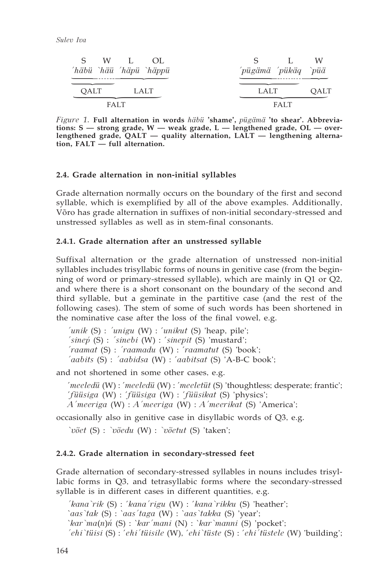| S W L OL<br>'häbü `häü 'häpü `häppü | W<br>$\sim$ $\sim$<br>'pügämä 'pükäq `püä |
|-------------------------------------|-------------------------------------------|
| OALT<br>LALT                        | OALT<br>LALT                              |
| <b>FALT</b>                         | <b>FALT</b>                               |

*Figure 1.* **Full alternation in words** *häbü* **'shame',** *pügämä* **'to shear'. Abbreviations: S — strong grade, W — weak grade, L — lengthened grade, OL — overlengthened grade, QALT — quality alternation, LALT — lengthening alternation, FALT — full alternation.**

#### **2.4. Grade alternation in non-initial syllables**

Grade alternation normally occurs on the boundary of the first and second syllable, which is exemplified by all of the above examples. Additionally, Võro has grade alternation in suffixes of non-initial secondary-stressed and unstressed syllables as well as in stem-final consonants.

#### **2.4.1. Grade alternation after an unstressed syllable**

Suffixal alternation or the grade alternation of unstressed non-initial syllables includes trisyllabic forms of nouns in genitive case (from the beginning of word or primary-stressed syllable), which are mainly in Q1 or Q2, and where there is a short consonant on the boundary of the second and third syllable, but a geminate in the partitive case (and the rest of the following cases). The stem of some of such words has been shortened in the nominative case after the loss of the final vowel, e.g.

*´unik* (S) : *´unigu* (W) : ´*unikut* (S) 'heap, pile'; *´sineÉp* (S) : *´sinebi* (W) : ´*sinepit* (S) 'mustard'; *´raamat* (S) : *´raamadu* (W) : ´*raamatut* (S) 'book'; *´aabits* (S) : *´aabidsa* (W) : ´*aabitsat* (S) 'A-B-C book';

and not shortened in some other cases, e.g.

´*meeledü* (W) : ´*meeledü* (W) : ´*meeletüt* (S) 'thoughtless; desperate; frantic'; ´*füüsiga* (W) : ´*füüsiga* (W) : ´*füüsikat* (S) 'physics'; *a´meeriga* (W) : *a´meeriga* (W) : *a´meerikat* (S) 'America';

occasionally also in genitive case in disyllabic words of Q3, e.g.

*`võet* (S) : *`võedu* (W) : *`võetut* (S) 'taken';

## **2.4.2. Grade alternation in secondary-stressed feet**

Grade alternation of secondary-stressed syllables in nouns includes trisyllabic forms in Q3, and tetrasyllabic forms where the secondary-stressed syllable is in different cases in different quantities, e.g.

*´kana`rik* (S) : ´*kana´rigu* (W) : ´*kana`rikku* (S) 'heather'; `*aas`tak* (S) : `*aas´taga* (W) : `*aas`takka* (S) 'year'; `*kar`ma*(*n*)*ń* (S) : `*kar´mani* (N) : `*kar`manni* (S) 'pocket'; *´ehi`tüisi* (S) : ´*ehi´tüisile* (W), ´*ehi`tüste* (S) : ´*ehi´tüstele* (W) 'building';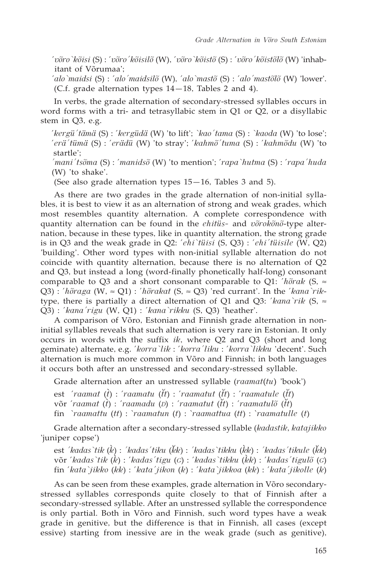´*võro`kõisi* (S) : ´*võro´kõisilõ* (W), ´*võro`kõistõ* (S) : ´*võro´kõistõlõ* (W) 'inhabitant of Võrumaa';

´*alo`maidsi* (S) : ´*alo´maidsilõ* (W), ´*alo`mastõ* (S) : ´*alo´mastõlõ* (W) 'lower'. (C.f. grade alternation types 14—18, Tables 2 and 4).

In verbs, the grade alternation of secondary-stressed syllables occurs in word forms with a tri- and tetrasyllabic stem in Q1 or Q2, or a disyllabic stem in Q3, e.g.

´*kergü´tämä* (S) : ´*kergüdä* (W) 'to lift'; *`kao´tama* (S) : *`kaoda* (W) 'to lose'; ´*erä´tümä* (S) : ´*erädü* (W) 'to stray'; ´*kahmõ´tuma* (S) : ´*kahmõdu* (W) 'to startle';

*´mani´tsõma* (S) : ´*manidsõ* (W) 'to mention'; ´*rapa`hutma* (S) : ´*rapa´huda* (W) 'to shake'.

(See also grade alternation types 15—16, Tables 3 and 5).

As there are two grades in the grade alternation of non-initial syllables, it is best to view it as an alternation of strong and weak grades, which most resembles quantity alternation. A complete correspondence with quantity alternation can be found in the *ehitüs-* and *võrokõnõ*-type alternation, because in these types, like in quantity alternation, the strong grade is in Q3 and the weak grade in Q2: ´*ehi`tüisi* (S, Q3) : ´*ehi´tüisile* (W, Q2) 'building'. Other word types with non-initial syllable alternation do not coincide with quantity alternation, because there is no alternation of Q2 and Q3, but instead a long (word-finally phonetically half-long) consonant comparable to Q3 and a short consonant comparable to Q1: ´*hõrak* (S, ≈ Q3) : ´*hõraga* (W, ≈ Q1) : ´*hõrakat* (S, ≈ Q3) 'red currant'. In the ´*kana`rik*type, there is partially a direct alternation of Q1 and Q3: ´*kana`rik* (S, ≈ Q3) : ´*kana´rigu* (W, Q1) : ´*kana`rikku* (S, Q3) 'heather'.

A comparison of Võro, Estonian and Finnish grade alternation in noninitial syllables reveals that such alternation is very rare in Estonian. It only occurs in words with the suffix *ik*, where Q2 and Q3 (short and long geminate) alternate, e.g. ´*korra`lik* : ´*korra´liku* : ´*korra`likku* 'decent'. Such alternation is much more common in Võro and Finnish; in both languages it occurs both after an unstressed and secondary-stressed syllable.

Grade alternation after an unstressed syllable (*raamat*(*tu*) 'book')

est '*raamat* (t) : '*raamatu* (*tt*) : '*raamatut* (*tt*) : '*raamatule* (*tt*)

võr '*raamat* (t) : '*raamadu* (D) : '*raamatut* (tt) : '*raamatulõ* (tt)

fin `*raamattu* (*tt*) : `*raamatun* (*t*) : `*raamattua* (*tt*) : `*raamatulle* (*t*)

Grade alternation after a secondary-stressed syllable (*kadastik*, *katajikko* 'juniper copse')

est *'kadas'tik* ( $\hat{k}$ ) : *'kadas'tiku* ( $\hat{k}$ k) : *'kadas'tikku* ( $\hat{k}$ k) : *'kadas'tikule* ( $\hat{k}$ k) võr ´*kadas`tik* () : ´*kadas´tigu* (*g*) : ´*kadas`tikku* (*k*) : ´*kadas´tigulõ* (*g*) fin ´*kata`jikko* (*kk*) : ´*kata´jikon* (*k*) : ´*kata`jikkoa* (*kk*) : ´*kata´jikolle* (*k*)

As can be seen from these examples, grade alternation in Võro secondarystressed syllables corresponds quite closely to that of Finnish after a secondary-stressed syllable. After an unstressed syllable the correspondence is only partial. Both in Võro and Finnish, such word types have a weak grade in genitive, but the difference is that in Finnish, all cases (except essive) starting from inessive are in the weak grade (such as genitive),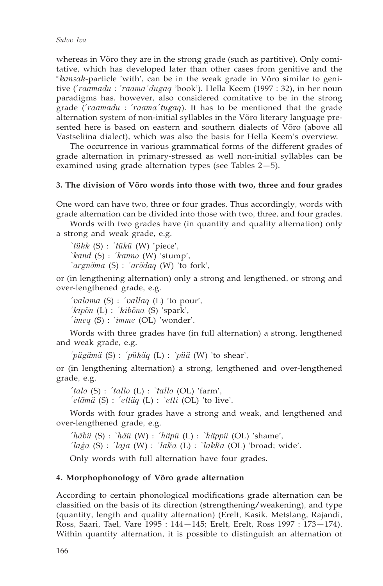whereas in Võro they are in the strong grade (such as partitive). Only comitative, which has developed later than other cases from genitive and the \**kansak*-particle 'with', can be in the weak grade in Võro similar to genitive (´*raamadu* : ´*raama´dugaq* 'book'). Hella Keem (1997 : 32), in her noun paradigms has, however, also considered comitative to be in the strong grade (´*raamadu* : ´*raama´tugaq*). It has to be mentioned that the grade alternation system of non-initial syllables in the Võro literary language presented here is based on eastern and southern dialects of Võro (above all Vastseliina dialect), which was also the basis for Hella Keem's overview.

The occurrence in various grammatical forms of the different grades of grade alternation in primary-stressed as well non-initial syllables can be examined using grade alternation types (see Tables 2—5).

## **3. The division of Võro words into those with two, three and four grades**

One word can have two, three or four grades. Thus accordingly, words with grade alternation can be divided into those with two, three, and four grades.

Words with two grades have (in quantity and quality alternation) only a strong and weak grade, e.g.

*`tükk* (S) : *´tükü* (W) 'piece', *`kand* (S) : *´kanno* (W) 'stump', *`argnõma* (S) : *´arõdaq* (W) 'to fork',

or (in lengthening alternation) only a strong and lengthened, or strong and over-lengthened grade, e.g.

```
´valama (S) : ´vallaq (L) 'to pour',
´kipõn (L) : ´kibõna (S) 'spark',
´imeq (S) : `imme (OL) 'wonder'.
```
Words with three grades have (in full alternation) a strong, lengthened and weak grade, e.g.

*´pügämä* (S) : *´pükäq* (L) : *`püä* (W) 'to shear',

or (in lengthening alternation) a strong, lengthened and over-lengthened grade, e.g.

*´talo* (S) : *´tallo* (L) : *`tallo* (OL) 'farm', *´elämä* (S) : *´elläq* (L) : *`elli* (OL) 'to live'.

Words with four grades have a strong and weak, and lengthened and over-lengthened grade, e.g.

*´häbü* (S) : *`häü* (W) : *´häpü* (L) : *`häppü* (OL) 'shame', *´laÉga* (S) : *´laja* (W) : *´lakÍ a* (L) : *`lakkÍ a* (OL) 'broad; wide'.

Only words with full alternation have four grades.

#### **4. Morphophonology of Võro grade alternation**

According to certain phonological modifications grade alternation can be classified on the basis of its direction (strengthening/weakening), and type (quantity, length and quality alternation) (Erelt, Kasik, Metslang, Rajandi, Ross, Saari, Tael, Vare 1995 : 144—145; Erelt, Erelt, Ross 1997 : 173—174). Within quantity alternation, it is possible to distinguish an alternation of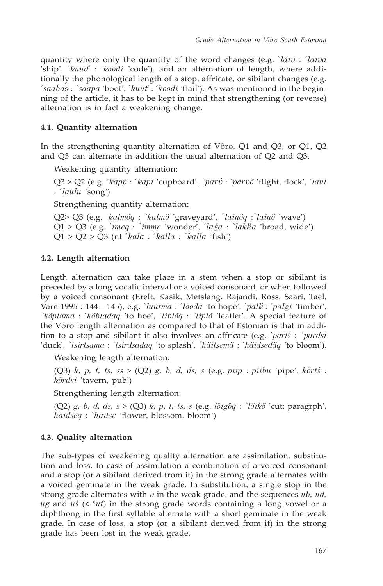quantity where only the quantity of the word changes (e.g. `*laiv* : ´*laiva* 'ship', `*kuudÍ* : ´*koodi* 'code'), and an alternation of length, where additionally the phonological length of a stop, affricate, or sibilant changes (e.g. ´*saaba*s : *`saapa* 'boot', `*kuutÍ* : ´*koodi* 'flail'). As was mentioned in the beginning of the article, it has to be kept in mind that strengthening (or reverse) alternation is in fact a weakening change.

# **4.1. Quantity alternation**

In the strengthening quantity alternation of Võro, Q1 and Q3, or Q1, Q2 and Q3 can alternate in addition the usual alternation of Q2 and Q3.

Weakening quantity alternation:

Q3 > Q2 (e.g. *`kapp*<sup>'</sup> : '*kapi* 'cupboard', *`parv*<sup>'</sup> : '*parv*<sup>"</sup> 'flight, flock', *`laul* : ´*laulu* 'song')

Strengthening quantity alternation:

Q2> Q3 (e.g. ´*kalmõq* : *`kalmõ* 'graveyard', *´lainõq* :*`lainõ* 'wave')  $Q1 > Q3$  (e.g. '*imeq* : `*imme* 'wonder', '*laga* : `*lakka* 'broad, wide') Q1 > Q2 > Q3 (nt ´*kala* : ´*kalla* : *`kalla* 'fish')

## **4.2. Length alternation**

Length alternation can take place in a stem when a stop or sibilant is preceded by a long vocalic interval or a voiced consonant, or when followed by a voiced consonant (Erelt, Kasik, Metslang, Rajandi, Ross, Saari, Tael, Vare 1995 : 144—145), e.g. `*luutma* : ´*looda* 'to hope', `*palkÍ* : ´*palgi* 'timber', *`kõplama* : ´*kõbladaq* 'to hoe', ´*liblõq* : *`liplõ* 'leaflet'. A special feature of the Võro length alternation as compared to that of Estonian is that in addition to a stop and sibilant it also involves an affricate (e.g. `*partś* : *´pardsi* 'duck', *`tsirtsama* : ´*tsirdsadaq* 'to splash', *`häitsemä* : ´*häidsedäq '*to bloom').

Weakening length alternation:

(Q3) *k, p, t, ts, ss* > (Q2) *g, b, d, ds, s* (e.g. *piip* : *piibu* 'pipe', *kõrtś* : *kõrdsi* 'tavern, pub')

Strengthening length alternation:

(Q2) *g, b, d, ds, s* > (Q3) *k, p, t, ts, s* (e.g. *lõigõq* : *`lõikõ* 'cut; paragrph', *häidseq* : *`häitse* 'flower, blossom, bloom')

## **4.3. Quality alternation**

The sub-types of weakening quality alternation are assimilation, substitution and loss. In case of assimilation a combination of a voiced consonant and a stop (or a sibilant derived from it) in the strong grade alternates with a voiced geminate in the weak grade. In substitution, a single stop in the strong grade alternates with *v* in the weak grade, and the sequences *ub, ud, ug* and *uś* (< \**ut*) in the strong grade words containing a long vowel or a diphthong in the first syllable alternate with a short geminate in the weak grade. In case of loss, a stop (or a sibilant derived from it) in the strong grade has been lost in the weak grade.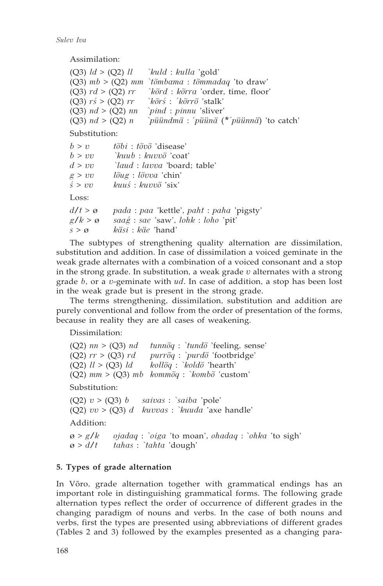*Sulev Iva*

Assimilation:

| (Q3) $ld > (Q2)$ $ll$         | <i>exald : kulla 'gold'</i>                       |
|-------------------------------|---------------------------------------------------|
|                               | (Q3) $mb > (Q2)$ mm `tõmbama : tõmmadaq 'to draw' |
| (Q3) $rd > (Q2) rr$           | <i>`kõrd : kõrra 'order, time, floor'</i>         |
| (Q3) $r\acute{s} >$ (Q2) $rr$ | $\delta$ rs : 'kõrrõ'stalk'                       |
| (Q3) $nd > (Q2)$ nn           | <i>pind</i> : <i>pinnu</i> 'sliver'               |
| (Q3) $nd > (Q2) n$            | $pi$ iiindmä : 'püünä (*'püünnä) 'to catch'       |

Substitution:

| b > v               | $t\tilde{o}bi : t\tilde{o}v\tilde{o}$ 'disease'                       |
|---------------------|-----------------------------------------------------------------------|
| b > vv              | `kuub : kuvvõ 'coat'                                                  |
| d > vv              | <i>laud : lavva 'board</i> ; table'                                   |
| g > vv              | $l\tilde{o}ug$ : $l\tilde{o}vva$ 'chin'                               |
| $\acute{s}$ > $vv$  | kuuś: kuvvõ 'six'                                                     |
| Loss:               |                                                                       |
| $d/t > \varnothing$ | <i>pada</i> : <i>paa</i> 'kettle', <i>paht</i> : <i>paha</i> 'pigsty' |
| $g/k > \varnothing$ | $saag$ : sae 'saw', $lohk$ : $loho$ 'pit'                             |
| $s > \varnothing$   | käsi : käe 'hand'                                                     |
|                     |                                                                       |

The subtypes of strengthening quality alternation are dissimilation, substitution and addition. In case of dissimilation a voiced geminate in the weak grade alternates with a combination of a voiced consonant and a stop in the strong grade. In substitution, a weak grade *v* alternates with a strong grade *b*, or a *v*-geminate with *ud*. In case of addition, a stop has been lost in the weak grade but is present in the strong grade.

The terms strengthening, dissimilation, substitution and addition are purely conventional and follow from the order of presentation of the forms, because in reality they are all cases of weakening.

Dissimilation:

(Q2) *nn* > (Q3) *nd tunnõq* : *`tundõ* 'feeling, sense' (Q2) *rr* > (Q3) *rd purrõq* : *`purdõ* 'footbridge' (Q2) *ll* > (Q3) *ld kollõq* : *`koldõ* 'hearth' (Q2) *mm* > (Q3) *mb kommõq* : *`kombõ* 'custom' Substitution: (Q2) *v* > (Q3) *b saivas* : *`saiba* 'pole' (Q2) *vv* > (Q3) *d kuvvas* : *`kuuda* 'axe handle' Addition: ø > *g/k ojadaq* : *`oiga* 'to moan', *ohadaq* : `*ohka* 'to sigh'

ø > *d/t tahas* : *`tahta* 'dough'

# **5. Types of grade alternation**

In Võro, grade alternation together with grammatical endings has an important role in distinguishing grammatical forms. The following grade alternation types reflect the order of occurrence of different grades in the changing paradigm of nouns and verbs. In the case of both nouns and verbs, first the types are presented using abbreviations of different grades (Tables 2 and 3) followed by the examples presented as a changing para-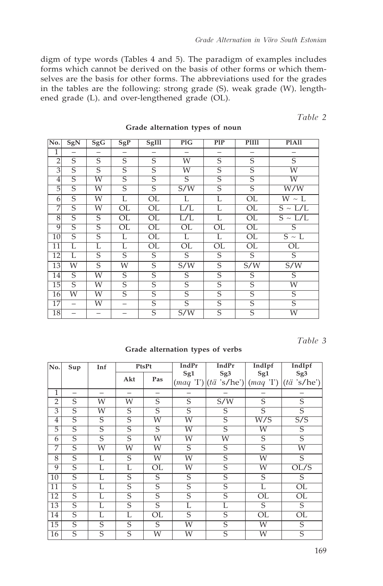digm of type words (Tables 4 and 5). The paradigm of examples includes forms which cannot be derived on the basis of other forms or which themselves are the basis for other forms. The abbreviations used for the grades in the tables are the following: strong grade (S), weak grade (W), lengthened grade (L), and over-lengthened grade (OL).

*Table 2*

| No.             | SgN            | SgG                      | SgP                    | SgIll                   | PIG             | PIP                     | PIIII                  | <b>PlAll</b>            |
|-----------------|----------------|--------------------------|------------------------|-------------------------|-----------------|-------------------------|------------------------|-------------------------|
| $\overline{1}$  |                | —                        |                        |                         |                 |                         |                        |                         |
| $\overline{2}$  | S              | S                        | S                      | S                       | W               | S                       | S                      | $\overline{S}$          |
| 3               | $\overline{S}$ | $\overline{S}$           | $\overline{S}$         | $\overline{S}$          | W               | $\overline{\mathsf{S}}$ | $\overline{S}$         | W                       |
| 4               | S              | W                        | S                      | S                       | S               | S                       | S                      | W                       |
| 5               | $\overline{S}$ | W                        | $\overline{S}$         | $\overline{S}$          | S/W             | $\overline{S}$          | S                      | $\overline{\text{W/W}}$ |
| 6               | S              | W                        | L                      | $\overline{\text{OL}}$  | L               | L                       | OL                     | $W \sim L$              |
| 7               | S              | W                        | $\overline{\text{OL}}$ | $\overline{\text{OL}}$  | L/L             | L                       | OL                     | $S \sim L/L$            |
| 8               | S              | S                        | OL                     | OL                      | L/L             | L                       | OL                     | $S \sim L/L$            |
| 9               | S              | $\overline{S}$           | $\overline{\text{OL}}$ | OL                      | OL              | $\overline{\text{OL}}$  | OL                     | S                       |
| 10              | $\overline{S}$ | $\overline{S}$           | L                      | OL                      | L               | L                       | $\overline{\text{OL}}$ | $S \sim L$              |
| 11              | L              | L                        | L                      | $\overline{\text{OL}}$  | $\overline{OL}$ | $\overline{\text{OL}}$  | $\overline{\text{OL}}$ | $\overline{\text{OL}}$  |
| 12              | L              | $\overline{S}$           | S                      | S                       | $\overline{S}$  | $\overline{S}$          | $\overline{S}$         | $\overline{S}$          |
| 13              | W              | $\overline{S}$           | W                      | $\overline{S}$          | S/W             | $\overline{S}$          | S/W                    | S/W                     |
| 14              | S              | W                        | S                      | S                       | S               | S                       | S                      | S                       |
| $\overline{15}$ | $\overline{S}$ | W                        | S                      | $\overline{\mathsf{S}}$ | $\overline{S}$  | $\overline{S}$          | $\overline{S}$         | W                       |
| 16              | W              | W                        | $\overline{S}$         | $\overline{\mathsf{S}}$ | $\overline{S}$  | $\overline{\mathsf{S}}$ | $\overline{S}$         | $\overline{S}$          |
| 17              |                | W                        |                        | S                       | S               | S                       | $\overline{S}$         | $\overline{S}$          |
| 18              |                | $\overline{\phantom{0}}$ |                        | $\overline{S}$          | S/W             | $\overline{S}$          | $\overline{S}$         | $\overline{\text{W}}$   |

#### **Grade alternation types of noun**

*Table 3*

## **Grade alternation types of verbs**

| No.             | Sup            | Inf                     |                         | PtsPt          | <b>IndPr</b>   | <b>IndPr</b>                                     | IndIpf                 | IndIpf                                  |
|-----------------|----------------|-------------------------|-------------------------|----------------|----------------|--------------------------------------------------|------------------------|-----------------------------------------|
|                 |                |                         | Akt                     | Pas            | Sg1            | Sg <sub>3</sub><br>$(maq'T)$ $(t\ddot{a}'s/he')$ | Sg1<br>(maq 'I')       | Sg <sub>3</sub><br>$(t\ddot{a}$ 's/he') |
| 1               | -              |                         | -                       | —              | -              |                                                  | -                      |                                         |
| $\overline{2}$  | S              | W                       | W                       | S              | S              | S/W                                              | S                      | S                                       |
| 3               | S              | W                       | S                       | S              | S              | S                                                | S                      | S                                       |
| 4               | $\overline{S}$ | S                       | $\overline{S}$          | W              | W              | $\overline{S}$                                   | $\overline{W/S}$       | $\overline{S/S}$                        |
| 5               | $\overline{S}$ | $\overline{\mathsf{S}}$ | $\overline{\mathsf{S}}$ | $\overline{S}$ | W              | $\overline{S}$                                   | W                      | S                                       |
| 6               | S              | S                       | S                       | W              | W              | W                                                | S                      | S                                       |
| 7               | S              | W                       | W                       | W              | S              | S                                                | S                      | W                                       |
| 8               | S              | L                       | S                       | W              | W              | S                                                | W                      | S                                       |
| 9               | S              | L                       | L                       | OL             | W              | S                                                | W                      | OL/S                                    |
| 10              | $\overline{S}$ | L                       | $\overline{S}$          | S              | S              | $\overline{S}$                                   | $\overline{S}$         | S                                       |
| 11              | S              | L                       | S                       | S              | S              | S                                                | L                      | OL                                      |
| 12              | $\overline{S}$ | Ĺ                       | $\overline{S}$          | $\overline{S}$ | $\overline{S}$ | $\overline{S}$                                   | OL                     | OL                                      |
| $\overline{13}$ | $\overline{S}$ | Ē                       | $\overline{\mathsf{S}}$ | $\overline{S}$ | L              | L                                                | S                      | $\overline{S}$                          |
| 14              | S              | L                       | L                       | OL             | S              | S                                                | $\overline{\text{OL}}$ | OL                                      |
| $\overline{15}$ | $\overline{S}$ | S                       | S                       | S              | W              | S                                                | W                      | S                                       |
| 16              | S              | S                       | S                       | W              | W              | $\overline{S}$                                   | W                      | S                                       |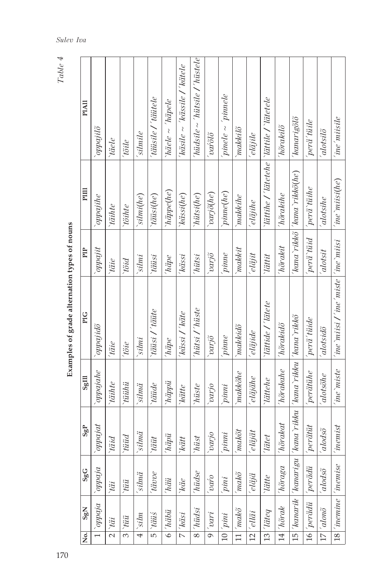| <b>PIAII</b>          | <i>chpajilõ</i> | <i>Yaele</i>  | 'töile        | silmile             | täüsile / täütele    | $h\ddot{a}ele \sim 'h\ddot{a}pele$ | 'käsile $\sim$ 'kässile / 'kätele | $\mu$ iadsile $\sim$ 'hutsile / 'hustele' | <i>varolo</i>                     | $pimele \sim pimele$ | makkilö                    | $^{\prime}$ eläjile             |                                                | $'h\tilde{o}$ raki $b\tilde{o}$ | 'kanarigõlõ                        | perä' tüile                     | alotsilõ                | <i>ine miisile</i>                                             |
|-----------------------|-----------------|---------------|---------------|---------------------|----------------------|------------------------------------|-----------------------------------|-------------------------------------------|-----------------------------------|----------------------|----------------------------|---------------------------------|------------------------------------------------|---------------------------------|------------------------------------|---------------------------------|-------------------------|----------------------------------------------------------------|
| PIIII                 | oppajihe        | <i>täihte</i> | Yöihte        | slimi(he)           | $t\dddot{a}i$ si(he) | häppe(he)                          | kässi(he)                         | hütsi(he)                                 | $\overrightarrow{vari\delta}(he)$ | $p$ inne $(he)$      | make the                   | eläjihe                         | <i>lättihe / lätetehe</i>   lättile / lätetele | 'hõrakihe                       | 'kana`rikkõ  'kana`rikkõ(he)       | perä tüühe                      | alotsihe                | $ine$ miisi $(he)$                                             |
| PIP                   | $opp$ iji       | täie          | pigl          | silmi               | <i>täüsi</i>         | 'häpe                              | 'kässi                            | 'hütsi                                    | <i>octoa</i>                      | $\emph{prime}$       | makkit                     | $'$ eläjit                      | `lättit                                        | 'hõrakit                        |                                    | perä tüid                       | alotsit                 |                                                                |
| PIG                   | oppajidõ        | täie          | $t\ddot{o}ie$ | $\sum$              | täüsi / 'täüte       | $h\ddot{a}pe$                      | 'kässi / 'käte                    | 'hütsi / 'hüste                           | $varj{\tilde{o}}$                 | pime                 | makkidõ                    | $'e {\it l}\ddot{a} j{\it i}de$ | 'lättide / 'lätete                             | hõrakidõ                        |                                    | perä'tüide                      | alotsidõ                | $\langle$ ine $m i s i$ / ine $m$ iste $\langle$ ine $m i s i$ |
| $\frac{1}{115}$       | opposite        | `täihte       | `tüühü        | $\sinh z$           | <i>räüde</i>         | $\lceil$ 'häppii                   | ``kätte"                          | $ '$ hüste                                | octoro                            | pinni                | make the                   | $^{\prime}$ eläjähe             | `lättehe                                       | $'h\tilde{o}rakehe$             | 'kana`rikku 'kana`rikkõ            | per a i                         | alotsõhe                | $^{\prime}ine$ $^{\prime}miste$                                |
| SgP                   | $opp\acute{o}$  | pinl          | <i>fiiid</i>  | silmä               | $t\ddot{a}\ddot{u}t$ | $h$ äpii                           | $k\ddot{a}tt$                     | hüst                                      | parjo                             | pimi                 | $'mab\tilde{o}t$           | $'$ eläjät                      | Titlet                                         | $\not\quad \textit{h\"ord} at$  | 'kanarik   'kanarigu   'kana`rikku | $\gamma$                        | $\emph{adso}$           | <i>inemist</i>                                                 |
| SgG                   | oppaja          | tii           | `tüü          | $'silm\ddot{a}$     | $\lceil$ tävve       | $i^h$ häü                          | $k\ddot{a}e$                      | 'hiidse                                   | $\bar{a}$                         | <i>pini</i>          | $^{^{\prime}}mab\tilde{o}$ | $\epsilon$ läjä                 | $\it{little}$                                  | $[ \, h \tilde{o}raga$          |                                    |                                 | $\tilde{a}lod\tilde{o}$ |                                                                |
| SgN                   | oppaja          | iii           | <i>tüü</i>    | $4 \sim \text{sim}$ | <i>räüs</i>          | $6$ $'$ $h$ ä $b$ ü                | $7 k$ äsi                         | 8 hüdsi                                   | $9^{\circ}$ vari                  | $10^{2}$             | $11\, \,mak\tilde{o}$      | $ '$ elläi                      | $\sqrt{7}$                                     | $\overline{14}$  'hõrak         |                                    | $16^{'}$ perädii $^{'}$ perädii | $17  'alon\tilde{o}$    | $\frac{18}{\pi}$ inemine $\frac{1}{\pi}$ inemise               |
| $\overline{\text{e}}$ |                 |               |               |                     |                      |                                    |                                   |                                           |                                   |                      |                            | $\overline{2}$                  | $\overline{13}$                                |                                 | $\overline{15}$                    |                                 |                         |                                                                |

Examples of grade alternation types of nouns **Examples of grade alternation types of nouns**

*Table 3 4*

*Sulev Iva*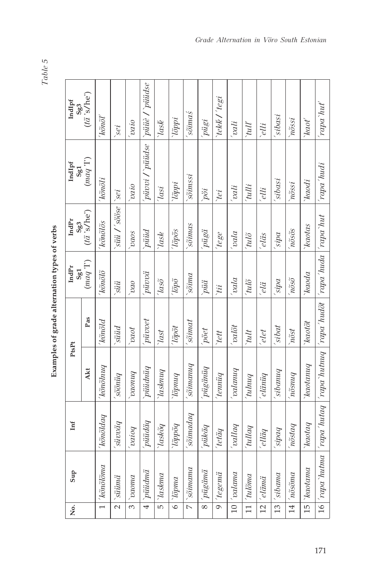| ١      |
|--------|
| ŋ<br>O |
|        |
| č.     |
|        |

| 5<br>Ì<br> <br> <br>    |
|-------------------------|
| ֧֛֓֜<br>l               |
| í<br>Ì<br>)             |
| ì<br>$\frac{1}{2}$<br>Ì |

| ģ.                      | Sup                                              | Int                                                                         | PtsPt                                               |                     | $Ind\mathrm{Pr}$<br>Sg1     | IndPr<br>Sg3            | IndIpf<br>Sg1                         | IndIpf<br>Sg3        |
|-------------------------|--------------------------------------------------|-----------------------------------------------------------------------------|-----------------------------------------------------|---------------------|-----------------------------|-------------------------|---------------------------------------|----------------------|
|                         |                                                  |                                                                             | Akt                                                 | Pas                 | $\left(mod\;!\Gamma\right)$ | $(t\ddot{a}$ 's/he')    | $\left(mod\;{}^{\prime}\Gamma\right)$ | $(t\ddot{a}$ 's/he') |
| $\overline{ }$          | $k\tilde{o}n\tilde{o}l\tilde{o}ma$               | kõnõldaq                                                                    | kõnõlnuq'                                           | 'kõnõld             | <i>kõnõlõ</i>               | kõnõlõs                 | 'kõnõli                               | 'kõnõl'              |
| $\overline{\mathbf{c}}$ | $\sum$                                           | $^{\prime} sin via$                                                         | söönüq                                              | süüd                | süü                         | $\sin i / \sin e$       | $\frac{1}{2}$                         | $\overline{sei}$     |
| $\omega$                | paoma                                            | [0.000]                                                                     | bnuova <sub>.</sub>                                 | <i>fova</i>         | ova                         | <i>vaos</i>             | oipa                                  | $rac{1}{\sqrt{2}}$   |
| $\overline{4}$          | püüdmä                                           | piiiidäq                                                                    | $p$ iiidnii $q$                                     | <i>piivvet</i>      | $'piiv\ddot{a}$             | piiid                   | piivvi / piiidse                      | piiie / piiidse      |
| $\overline{5}$          | $\gamma_{askma}$                                 | Yaskõq                                                                      | $\gamma_{\alpha shnug}$                             | $\sqrt{last}$       | $^{7}$                      | <i>lask</i>             | $\frac{1}{\sqrt{2}}$                  | $\delta$             |
| $\overline{\circ}$      | $\mid \check{\mathit{lipma}}$                    | boddg,                                                                      | buudg.                                              | <i>Tõpõt</i>        | <i>lõpõ</i>                 | <i>Tõpõs</i>            | $i$ õppi                              | $\mid$ lõppi         |
| $\overline{\wedge}$     | $\delta$ omama                                   | sõimadaq                                                                    | sõimanuq                                            | sõinat              | pungs                       | sõimas                  | $s\tilde{o}imsi$                      | 'sõima's             |
| $\overline{\infty}$     | pügänä                                           | $pii\hspace{-0.1cm}k\hspace{-0.1cm}i\hspace{-0.1cm}\bar{a}\hspace{-0.1cm}q$ | pügänüq                                             | pöet                | piiä                        | pügä                    | pi                                    | pügi                 |
| $\overline{\circ}$      | $'tegemi$                                        | $ 'tet\ddot{a}q$                                                            | 'tenniiq                                            | `tett               | ʻtii                        | $tege$                  | tei                                   | 'tekk /'tegi         |
| $\frac{1}{2}$           | $\alpha$ lama                                    | $\emph{ballo}$                                                              | pnuppa,                                             | valõt               | ppa                         | vala                    | vali                                  | <i>vali</i>          |
| $\overline{=}$          | $int \widetilde{\sigma}$                         | $b\!$                                                                       | pnyny,                                              | tult                | $tul\tilde{o}$              | $tul\tilde{o}$          | 'tulli                                | l                    |
| $\overline{2}$          | $\vert 'el\ddot{a}m\ddot{a}$                     | $_{ellq}$                                                                   | $'el \ddot{a}n \ddot{u}q$                           | elet                | elä                         | eläs                    | elli                                  | elli                 |
| $\overline{13}$         | isibama                                          | bodis,                                                                      | sibanuq                                             | sibat               | sipa                        | sipa                    | 'sibasi                               | sibasi               |
| $\frac{14}{1}$          | $n\tilde{o}$ sõna                                | $n\tilde{o}stag$                                                            | $\tilde{m}$ čsnu $q$                                | $n\tilde{o}st$      | $n\tilde{o}s\tilde{o}$      | $n\tilde{o}s\tilde{o}s$ | nõssi                                 | $n\tilde{o}$ ssi     |
| $\overline{15}$         | $\label{eq:nonlocal} \blacksquare$               | $\mid\hspace{-.05cm}\mid\hspace{-.05cm}iatotag$                             | $k$ aotanu $q$                                      | $kao t \tilde{o} t$ | <i>kaoda</i>                | kaotas                  | `kaodi                                | `kaot'               |
|                         | $16   \text{rapa' human}   \text{rapa' hutaq}  $ |                                                                             | rapa 'hutnuq   rapa 'hudõt   rapa 'huda   rapa 'hut |                     |                             |                         | 'rapa 'hudi                           | 'rapa'hat'           |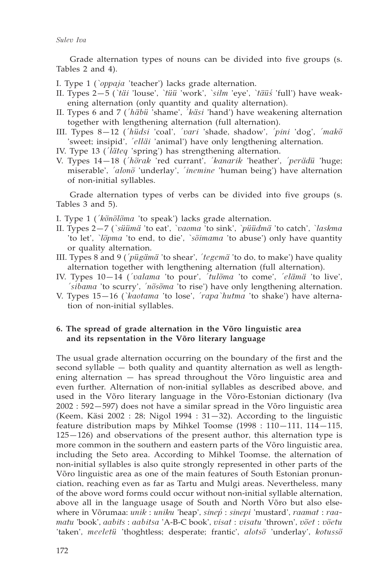Grade alternation types of nouns can be divided into five groups (s. Tables 2 and 4).

- I. Type 1 (*`oppaja* 'teacher') lacks grade alternation.
- II. Types 2—5 (*`täi* 'louse', *`tüü* 'work', *`silm* 'eye', *`täüś* 'full') have weakening alternation (only quantity and quality alternation).
- II. Types 6 and 7 (*´häbü* 'shame', *´käsi* 'hand') have weakening alternation together with lengthening alternation (full alternation).
- III. Types 8—12 (*´hüdsi* 'coal', *´vari* 'shade, shadow', *´pini* 'dog', *´makõ* 'sweet; insipid', *´elläi* 'animal') have only lengthening alternation.
- IV. Type 13 (*´läteq* 'spring') has strengthening alternation.
- V. Types 14—18 (*´hõrak* 'red currant', *´kanarik* 'heather', *´perädü* 'huge; miserable', *´alonõ* 'underlay', *´inemine* 'human being') have alternation of non-initial syllables.

Grade alternation types of verbs can be divided into five groups (s. Tables 3 and 5).

I. Type 1 (*´kõnõlõma* 'to speak') lacks grade alternation.

- II. Types 2—7 (*`süümä* 'to eat', *`vaoma* 'to sink', *`püüdmä* 'to catch', *`laskma* 'to let', *`lõpma* 'to end, to die', *`sõimama* 'to abuse') only have quantity or quality alternation.
- III. Types 8 and 9 (*´pügämä* 'to shear', *´tegemä* 'to do, to make') have quality alternation together with lengthening alternation (full alternation).
- IV. Types 10—14 (*´valama* 'to pour', *´tulõma* 'to come', *´elämä* 'to live', *´sibama* 'to scurry', *´nõsõma* 'to rise') have only lengthening alternation.
- V. Types 15—16 (*`kaotama* 'to lose', *´rapa`hutma* 'to shake') have alternation of non-initial syllables.

## **6. The spread of grade alternation in the Võro linguistic area and its repsentation in the Võro literary language**

The usual grade alternation occurring on the boundary of the first and the second syllable — both quality and quantity alternation as well as lengthening alternation — has spread throughout the Võro linguistic area and even further. Alternation of non-initial syllables as described above, and used in the Võro literary language in the Võro-Estonian dictionary (Iva 2002 : 592—597) does not have a similar spread in the Võro linguistic area (Keem, Käsi 2002 : 28; Nigol 1994 :  $31-32$ ). According to the linguistic feature distribution maps by Mihkel Toomse (1998 : 110—111, 114—115, 125—126) and observations of the present author, this alternation type is more common in the southern and eastern parts of the Võro linguistic area, including the Seto area. According to Mihkel Toomse, the alternation of non-initial syllables is also quite strongly represented in other parts of the Võro linguistic area as one of the main features of South Estonian pronunciation, reaching even as far as Tartu and Mulgi areas. Nevertheless, many of the above word forms could occur without non-initial syllable alternation, above all in the language usage of South and North Võro but also elsewhere in Võrumaa: *unik* : *uniku* 'heap', *sinepÉ* : *sinepi* 'mustard', *raamat* : *raamatu* 'book', *aabits* : *aabitsa* 'A-B-C book', *visat* : *visatu* 'thrown', *võet* : *võetu* 'taken', *meeletü* 'thoghtless; desperate; frantic', *alotsõ* 'underlay', *kotussõ*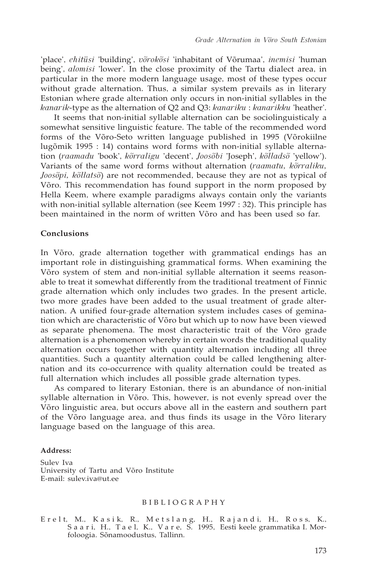'place', *ehitüsi* 'building', *võrokõsi* 'inhabitant of Võrumaa', *inemisi* 'human being', *alomisi* 'lower'*.* In the close proximity of the Tartu dialect area, in particular in the more modern language usage, most of these types occur without grade alternation. Thus, a similar system prevails as in literary Estonian where grade alternation only occurs in non-initial syllables in the *kanarik*-type as the alternation of Q2 and Q3: *kanariku* : *kanarikku* 'heather'.

It seems that non-initial syllable alternation can be sociolinguisticaly a somewhat sensitive linguistic feature. The table of the recommended word forms of the Võro-Seto written language published in 1995 (Võrokiilne lugõmik 1995 : 14) contains word forms with non-initial syllable alternation (*raamadu* 'book', *kõrraligu* 'decent', *Joosõbi* 'Joseph', *kõlladsõ* 'yellow'). Variants of the same word forms without alternation (*raamatu, kõrraliku, Joosõpi, kõllatsõ*) are not recommended, because they are not as typical of Võro. This recommendation has found support in the norm proposed by Hella Keem, where example paradigms always contain only the variants with non-initial syllable alternation (see Keem 1997 : 32). This principle has been maintained in the norm of written Võro and has been used so far.

## **Conclusions**

In Võro, grade alternation together with grammatical endings has an important role in distinguishing grammatical forms. When examining the Võro system of stem and non-initial syllable alternation it seems reasonable to treat it somewhat differently from the traditional treatment of Finnic grade alternation which only includes two grades. In the present article, two more grades have been added to the usual treatment of grade alternation. A unified four-grade alternation system includes cases of gemination which are characteristic of Võro but which up to now have been viewed as separate phenomena. The most characteristic trait of the Võro grade alternation is a phenomenon whereby in certain words the traditional quality alternation occurs together with quantity alternation including all three quantities. Such a quantity alternation could be called lengthening alternation and its co-occurrence with quality alternation could be treated as full alternation which includes all possible grade alternation types.

As compared to literary Estonian, there is an abundance of non-initial syllable alternation in Võro. This, however, is not evenly spread over the Võro linguistic area, but occurs above all in the eastern and southern part of the Võro language area, and thus finds its usage in the Võro literary language based on the language of this area.

#### **Address:**

Sulev Iva University of Tartu and Võro Institute E-mail: sulev.iva@ut.ee

#### B I B L I O G R A P H Y

Erelt, M., Kasik, R., Metslang, H., Rajandi, H., Ross, K., S a a r i, H., T a e l, K., V a r e, S. 1995, Eesti keele grammatika I. Morfoloogia. Sõnamoodustus, Tallinn.